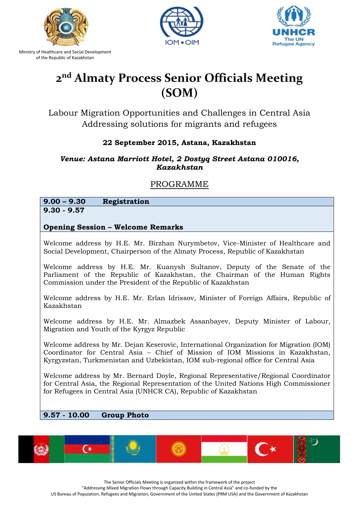





# **2 nd Almaty Process Senior Officials Meeting (SOM)**

Labour Migration Opportunities and Challenges in Central Asia Addressing solutions for migrants and refugees

### **22 September 2015, Astana, Kazakhstan**

### *Venue: Astana Marriott Hotel, 2 Dostyq Street Astana 010016, Kazakhstan*

## PROGRAMME

**9.00 – 9.30 Registration 9.30 - 9.57**

### **Opening Session – Welcome Remarks**

Welcome address by H.E. Mr. Birzhan Nurymbetov, Vice-Minister of Healthcare and Social Development, Chairperson of the Almaty Process, Republic of Kazakhstan

Welcome address by H.E. Mr. Kuanysh Sultanov, Deputy of the Senate of the Parliament of the Republic of Kazakhstan, the Chairman of the Human Rights Commission under the President of the Republic of Kazakhstan

Welcome address by H.E. Mr. Erlan Idrissov, Minister of Foreign Affairs, Republic of Kazakhstan

Welcome address by H.E. Mr. Almazbek Assanbayev, Deputy Minister of Labour, Migration and Youth of the Kyrgyz Republic

Welcome address by Mr. Dejan Keserovic, International Organization for Migration (IOM) Coordinator for Central Asia – Chief of Mission of IOM Missions in Kazakhstan, Kyrgyzstan, Turkmenistan and Uzbekistan, IOM sub-regional office for Central Asia

Welcome address by Mr. Bernard Doyle, Regional Representative/Regional Coordinator for Central Asia, the Regional Representation of the United Nations High Commissioner for Refugees in Central Asia (UNHCR CA), Republic of Kazakhstan

### **9.57 - 10.00 Group Photo**



The Senior Officials Meeting is organized within the framework of the project

"Addressing Mixed Migration Flows through Capacity Building in Central Asia" and co-funded by the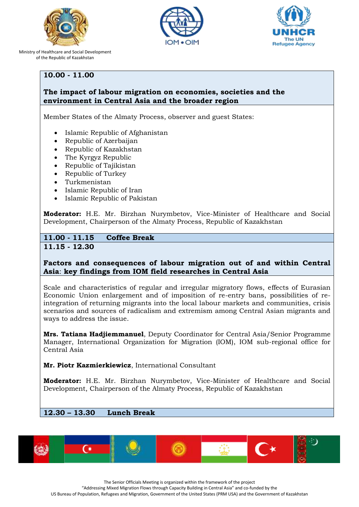





### **10.00 - 11.00**

### **The impact of labour migration on economies, societies and the environment in Central Asia and the broader region**

Member States of the Almaty Process, observer and guest States:

- Islamic Republic of Afghanistan
- Republic of Azerbaijan
- Republic of Kazakhstan
- The Kyrgyz Republic
- Republic of Tajikistan
- Republic of Turkey
- Turkmenistan
- Islamic Republic of Iran
- Islamic Republic of Pakistan

**Moderator:** H.E. Mr. Birzhan Nurymbetov, Vice-Minister of Healthcare and Social Development, Chairperson of the Almaty Process, Republic of Kazakhstan

### **11.00 - 11.15 Coffee Break 11.15 - 12.30**

### **Factors and consequences of labour migration out of and within Central Asia**: **key findings from IOM field researches in Central Asia**

Scale and characteristics of regular and irregular migratory flows, effects of Eurasian Economic Union enlargement and of imposition of re-entry bans, possibilities of reintegration of returning migrants into the local labour markets and communities, crisis scenarios and sources of radicalism and extremism among Central Asian migrants and ways to address the issue.

**Mrs. Tatiana Hadjiemmanuel**, Deputy Coordinator for Central Asia/Senior Programme Manager, International Organization for Migration (IOM), IOM sub-regional office for Central Asia

**Mr. Piotr Kazmierkiewicz**, International Consultant

**Moderator:** H.E. Mr. Birzhan Nurymbetov, Vice-Minister of Healthcare and Social Development, Chairperson of the Almaty Process, Republic of Kazakhstan

### **12.30 – 13.30 Lunch Break**



The Senior Officials Meeting is organized within the framework of the project

"Addressing Mixed Migration Flows through Capacity Building in Central Asia" and co-funded by the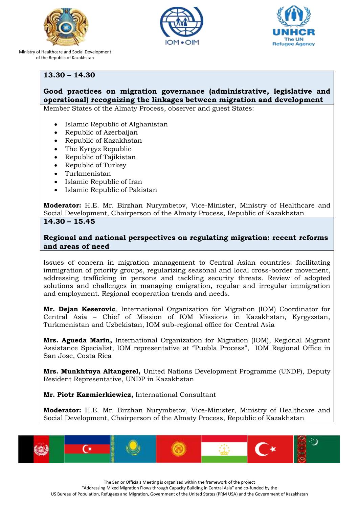





### **13.30 – 14.30**

# **Good practices on migration governance (administrative, legislative and operational) recognizing the linkages between migration and development**

Member States of the Almaty Process, observer and guest States:

- Islamic Republic of Afghanistan
- Republic of Azerbaijan
- Republic of Kazakhstan
- The Kyrgyz Republic
- Republic of Tajikistan
- Republic of Turkey
- Turkmenistan
- Islamic Republic of Iran
- Islamic Republic of Pakistan

**Moderator:** H.E. Mr. Birzhan Nurymbetov, Vice-Minister, Ministry of Healthcare and Social Development, Chairperson of the Almaty Process, Republic of Kazakhstan **14.30 – 15.45**

### **Regional and national perspectives on regulating migration: recent reforms and areas of need**

Issues of concern in migration management to Central Asian countries: facilitating immigration of priority groups, regularizing seasonal and local cross-border movement, addressing trafficking in persons and tackling security threats. Review of adopted solutions and challenges in managing emigration, regular and irregular immigration and employment. Regional cooperation trends and needs.

**Mr. Dejan Keserovic**, International Organization for Migration (IOM) Coordinator for Central Asia – Chief of Mission of IOM Missions in Kazakhstan, Kyrgyzstan, Turkmenistan and Uzbekistan, IOM sub-regional office for Central Asia

**Mrs. Agueda Marin,** International Organization for Migration (IOM), Regional Migrant Assistance Specialist, IOM representative at "Puebla Process", IOM Regional Office in San Jose, Costa Rica

**Mrs. Munkhtuya Altangerel,** United Nations Development Programme (UNDP), Deputy Resident Representative, UNDP in Kazakhstan

**Mr. Piotr Kazmierkiewicz,** International Consultant

**Moderator:** H.E. Mr. Birzhan Nurymbetov, Vice-Minister, Ministry of Healthcare and Social Development, Chairperson of the Almaty Process, Republic of Kazakhstan



The Senior Officials Meeting is organized within the framework of the project "Addressing Mixed Migration Flows through Capacity Building in Central Asia" and co-funded by the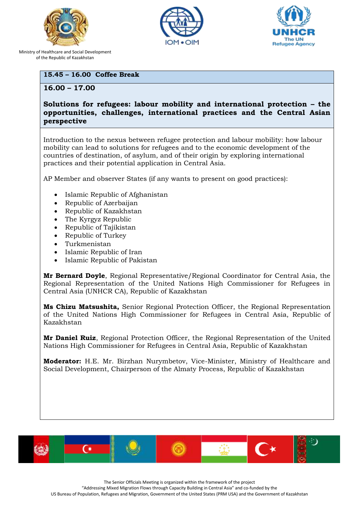





### **15.45 – 16.00 Coffee Break**

**16.00 – 17.00** 

### **Solutions for refugees: labour mobility and international protection – the opportunities, challenges, international practices and the Central Asian perspective**

Introduction to the nexus between refugee protection and labour mobility: how labour mobility can lead to solutions for refugees and to the economic development of the countries of destination, of asylum, and of their origin by exploring international practices and their potential application in Central Asia.

AP Member and observer States (if any wants to present on good practices):

- Islamic Republic of Afghanistan
- Republic of Azerbaijan
- Republic of Kazakhstan
- The Kyrgyz Republic
- Republic of Tajikistan
- Republic of Turkey
- Turkmenistan
- Islamic Republic of Iran
- Islamic Republic of Pakistan

**Mr Bernard Doyle**, Regional Representative/Regional Coordinator for Central Asia, the Regional Representation of the United Nations High Commissioner for Refugees in Central Asia (UNHCR CA), Republic of Kazakhstan

**Ms Chizu Matsushita,** Senior Regional Protection Officer, the Regional Representation of the United Nations High Commissioner for Refugees in Central Asia, Republic of Kazakhstan

**Mr Daniel Ruiz**, Regional Protection Officer, the Regional Representation of the United Nations High Commissioner for Refugees in Central Asia, Republic of Kazakhstan

**Moderator:** H.E. Mr. Birzhan Nurymbetov, Vice-Minister, Ministry of Healthcare and Social Development, Chairperson of the Almaty Process, Republic of Kazakhstan



The Senior Officials Meeting is organized within the framework of the project

"Addressing Mixed Migration Flows through Capacity Building in Central Asia" and co-funded by the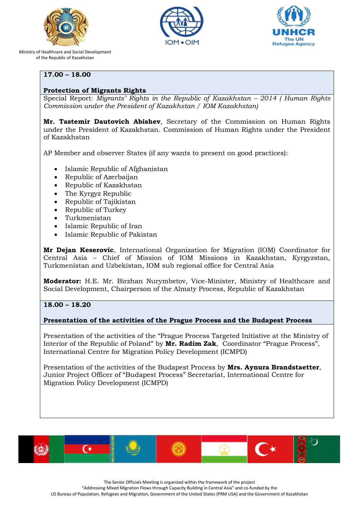





### **17.00 – 18.00**

### **Protection of Migrants Rights**

Special Report: *Migrants' Rights in the Republic of Kazakhstan – 2014 ( Human Rights Commission under the President of Kazakhstan / IOM Kazakhstan)*

**Mr. Tastemir Dautovich Abishev**, Secretary of the Commission on Human Rights under the President of Kazakhstan. Commission of Human Rights under the President of Kazakhstan

AP Member and observer States (if any wants to present on good practices):

- Islamic Republic of Afghanistan
- Republic of Azerbaijan
- Republic of Kazakhstan
- The Kyrgyz Republic
- Republic of Tajikistan
- Republic of Turkey
- Turkmenistan
- Islamic Republic of Iran
- Islamic Republic of Pakistan

**Mr Dejan Keserovic**, International Organization for Migration (IOM) Coordinator for Central Asia – Chief of Mission of IOM Missions in Kazakhstan, Kyrgyzstan, Turkmenistan and Uzbekistan, IOM sub regional office for Central Asia

**Moderator:** H.E. Mr. Birzhan Nurymbetov, Vice-Minister, Ministry of Healthcare and Social Development, Chairperson of the Almaty Process, Republic of Kazakhstan

#### **18.00 – 18.20**

#### **Presentation of the activities of the Prague Process and the Budapest Process**

Presentation of the activities of the "Prague Process Targeted Initiative at the Ministry of Interior of the Republic of Poland" by **Mr. Radim Zak**, Coordinator "Prague Process", International Centre for Migration Policy Development (ICMPD)

Presentation of the activities of the Budapest Process by **Mrs. Aynura Brandstaetter**, Junior Project Officer of "Budapest Process" Secretariat, International Centre for Migration Policy Development (ICMPD)



The Senior Officials Meeting is organized within the framework of the project

"Addressing Mixed Migration Flows through Capacity Building in Central Asia" and co-funded by the